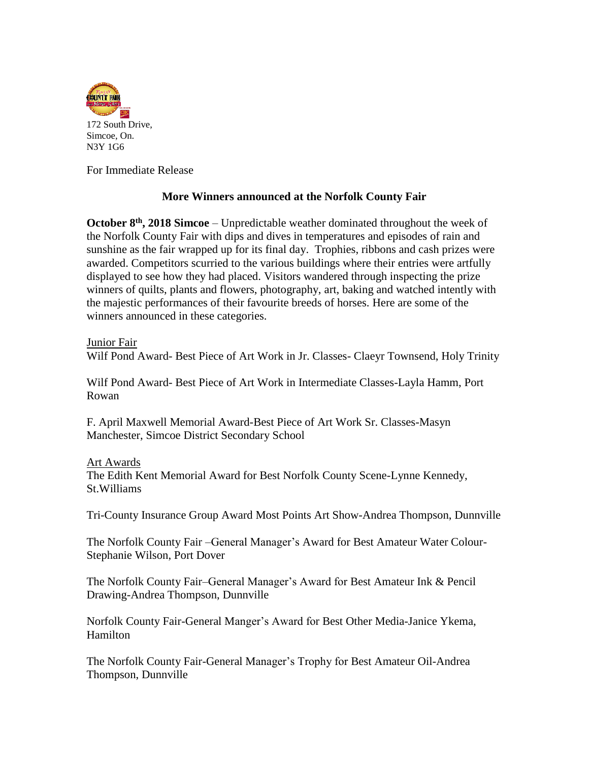

For Immediate Release

## **More Winners announced at the Norfolk County Fair**

**October 8<sup>th</sup>**, 2018 Simcoe – Unpredictable weather dominated throughout the week of the Norfolk County Fair with dips and dives in temperatures and episodes of rain and sunshine as the fair wrapped up for its final day. Trophies, ribbons and cash prizes were awarded. Competitors scurried to the various buildings where their entries were artfully displayed to see how they had placed. Visitors wandered through inspecting the prize winners of quilts, plants and flowers, photography, art, baking and watched intently with the majestic performances of their favourite breeds of horses. Here are some of the winners announced in these categories.

Junior Fair

Wilf Pond Award- Best Piece of Art Work in Jr. Classes- Claeyr Townsend, Holy Trinity

Wilf Pond Award- Best Piece of Art Work in Intermediate Classes-Layla Hamm, Port Rowan

F. April Maxwell Memorial Award-Best Piece of Art Work Sr. Classes-Masyn Manchester, Simcoe District Secondary School

## Art Awards

The Edith Kent Memorial Award for Best Norfolk County Scene-Lynne Kennedy, St.Williams

Tri-County Insurance Group Award Most Points Art Show-Andrea Thompson, Dunnville

The Norfolk County Fair –General Manager's Award for Best Amateur Water Colour-Stephanie Wilson, Port Dover

The Norfolk County Fair–General Manager's Award for Best Amateur Ink & Pencil Drawing-Andrea Thompson, Dunnville

Norfolk County Fair-General Manger's Award for Best Other Media-Janice Ykema, Hamilton

The Norfolk County Fair-General Manager's Trophy for Best Amateur Oil-Andrea Thompson, Dunnville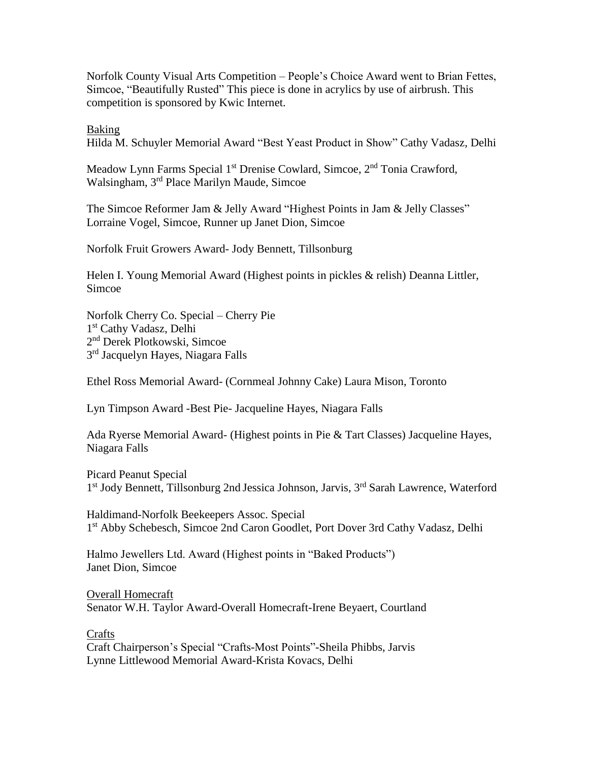Norfolk County Visual Arts Competition – People's Choice Award went to Brian Fettes, Simcoe, "Beautifully Rusted" This piece is done in acrylics by use of airbrush. This competition is sponsored by Kwic Internet.

Baking

Hilda M. Schuyler Memorial Award "Best Yeast Product in Show" Cathy Vadasz, Delhi

Meadow Lynn Farms Special 1<sup>st</sup> Drenise Cowlard, Simcoe, 2<sup>nd</sup> Tonia Crawford, Walsingham, 3rd Place Marilyn Maude, Simcoe

The Simcoe Reformer Jam & Jelly Award "Highest Points in Jam & Jelly Classes" Lorraine Vogel, Simcoe, Runner up Janet Dion, Simcoe

Norfolk Fruit Growers Award*-* Jody Bennett, Tillsonburg

Helen I. Young Memorial Award (Highest points in pickles & relish) Deanna Littler, Simcoe

Norfolk Cherry Co. Special – Cherry Pie 1st Cathy Vadasz, Delhi 2 nd Derek Plotkowski, Simcoe 3<sup>rd</sup> Jacquelyn Hayes, Niagara Falls

Ethel Ross Memorial Award- (Cornmeal Johnny Cake) Laura Mison, Toronto

Lyn Timpson Award -Best Pie- Jacqueline Hayes, Niagara Falls

Ada Ryerse Memorial Award- (Highest points in Pie & Tart Classes) Jacqueline Hayes, Niagara Falls

Picard Peanut Special 1<sup>st</sup> Jody Bennett, Tillsonburg 2nd Jessica Johnson, Jarvis, 3<sup>rd</sup> Sarah Lawrence, Waterford

Haldimand-Norfolk Beekeepers Assoc. Special 1st Abby Schebesch, Simcoe 2nd Caron Goodlet, Port Dover 3rd Cathy Vadasz, Delhi

Halmo Jewellers Ltd. Award (Highest points in "Baked Products") Janet Dion, Simcoe

Overall Homecraft Senator W.H. Taylor Award-Overall Homecraft-Irene Beyaert, Courtland

**Crafts** 

Craft Chairperson's Special "Crafts-Most Points"-Sheila Phibbs, Jarvis Lynne Littlewood Memorial Award-Krista Kovacs, Delhi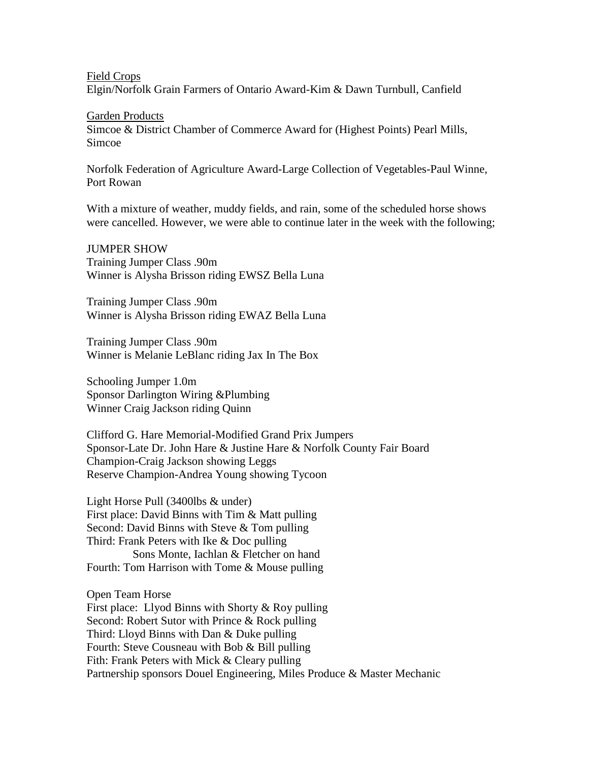Field Crops

Elgin/Norfolk Grain Farmers of Ontario Award*-*Kim & Dawn Turnbull, Canfield

Garden Products

Simcoe & District Chamber of Commerce Award for (Highest Points) Pearl Mills, Simcoe

Norfolk Federation of Agriculture Award-Large Collection of Vegetables-Paul Winne, Port Rowan

With a mixture of weather, muddy fields, and rain, some of the scheduled horse shows were cancelled. However, we were able to continue later in the week with the following;

JUMPER SHOW Training Jumper Class .90m Winner is Alysha Brisson riding EWSZ Bella Luna

Training Jumper Class .90m Winner is Alysha Brisson riding EWAZ Bella Luna

Training Jumper Class .90m Winner is Melanie LeBlanc riding Jax In The Box

Schooling Jumper 1.0m Sponsor Darlington Wiring &Plumbing Winner Craig Jackson riding Quinn

Clifford G. Hare Memorial-Modified Grand Prix Jumpers Sponsor-Late Dr. John Hare & Justine Hare & Norfolk County Fair Board Champion-Craig Jackson showing Leggs Reserve Champion-Andrea Young showing Tycoon

Light Horse Pull (3400lbs & under) First place: David Binns with Tim & Matt pulling Second: David Binns with Steve & Tom pulling Third: Frank Peters with Ike & Doc pulling Sons Monte, Iachlan & Fletcher on hand Fourth: Tom Harrison with Tome & Mouse pulling

Open Team Horse First place: Llyod Binns with Shorty & Roy pulling Second: Robert Sutor with Prince & Rock pulling Third: Lloyd Binns with Dan & Duke pulling Fourth: Steve Cousneau with Bob & Bill pulling Fith: Frank Peters with Mick & Cleary pulling Partnership sponsors Douel Engineering, Miles Produce & Master Mechanic